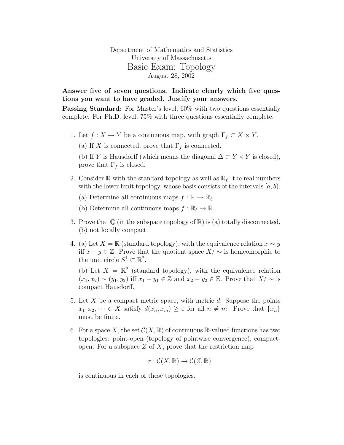Department of Mathematics and Statistics University of Massachusetts Basic Exam: Topology August 28, 2002

Answer five of seven questions. Indicate clearly which five questions you want to have graded. Justify your answers.

Passing Standard: For Master's level, 60% with two questions essentially complete. For Ph.D. level, 75% with three questions essentially complete.

- 1. Let  $f: X \to Y$  be a continuous map, with graph  $\Gamma_f \subset X \times Y$ .
	- (a) If X is connected, prove that  $\Gamma_f$  is connected.

(b) If Y is Hausdorff (which means the diagonal  $\Delta \subset Y \times Y$  is closed), prove that  $\Gamma_f$  is closed.

2. Consider  $\mathbb R$  with the standard topology as well as  $\mathbb R_\ell$ : the real numbers with the lower limit topology, whose basis consists of the intervals  $[a, b)$ .

(a) Determine all continuous maps  $f : \mathbb{R} \to \mathbb{R}_{\ell}$ .

(b) Determine all continuous maps  $f : \mathbb{R}_{\ell} \to \mathbb{R}$ .

- 3. Prove that  $\mathbb Q$  (in the subspace topology of  $\mathbb R$ ) is (a) totally disconnected, (b) not locally compact.
- 4. (a) Let  $X = \mathbb{R}$  (standard topology), with the equivalence relation  $x \sim y$ iff  $x - y \in \mathbb{Z}$ . Prove that the quotient space  $X/\sim$  is homeomorphic to the unit circle  $S^1 \subset \mathbb{R}^2$ .

(b) Let  $X = \mathbb{R}^2$  (standard topology), with the equivalence relation  $(x_1, x_2) \sim (y_1, y_2)$  iff  $x_1 - y_1 \in \mathbb{Z}$  and  $x_2 - y_2 \in \mathbb{Z}$ . Prove that  $X/\sim$  is compact Hausdorff.

- 5. Let X be a compact metric space, with metric  $d$ . Suppose the points  $x_1, x_2, \dots \in X$  satisfy  $d(x_n, x_m) \geq \varepsilon$  for all  $n \neq m$ . Prove that  $\{x_n\}$ must be finite.
- 6. For a space X, the set  $\mathcal{C}(X,\mathbb{R})$  of continuous  $\mathbb{R}$ -valued functions has two topologies: point-open (topology of pointwise convergence), compactopen. For a subspace  $Z$  of  $X$ , prove that the restriction map

$$
r:\mathcal{C}(X,\mathbb{R})\to\mathcal{C}(Z,\mathbb{R})
$$

is continuous in each of these topologies.